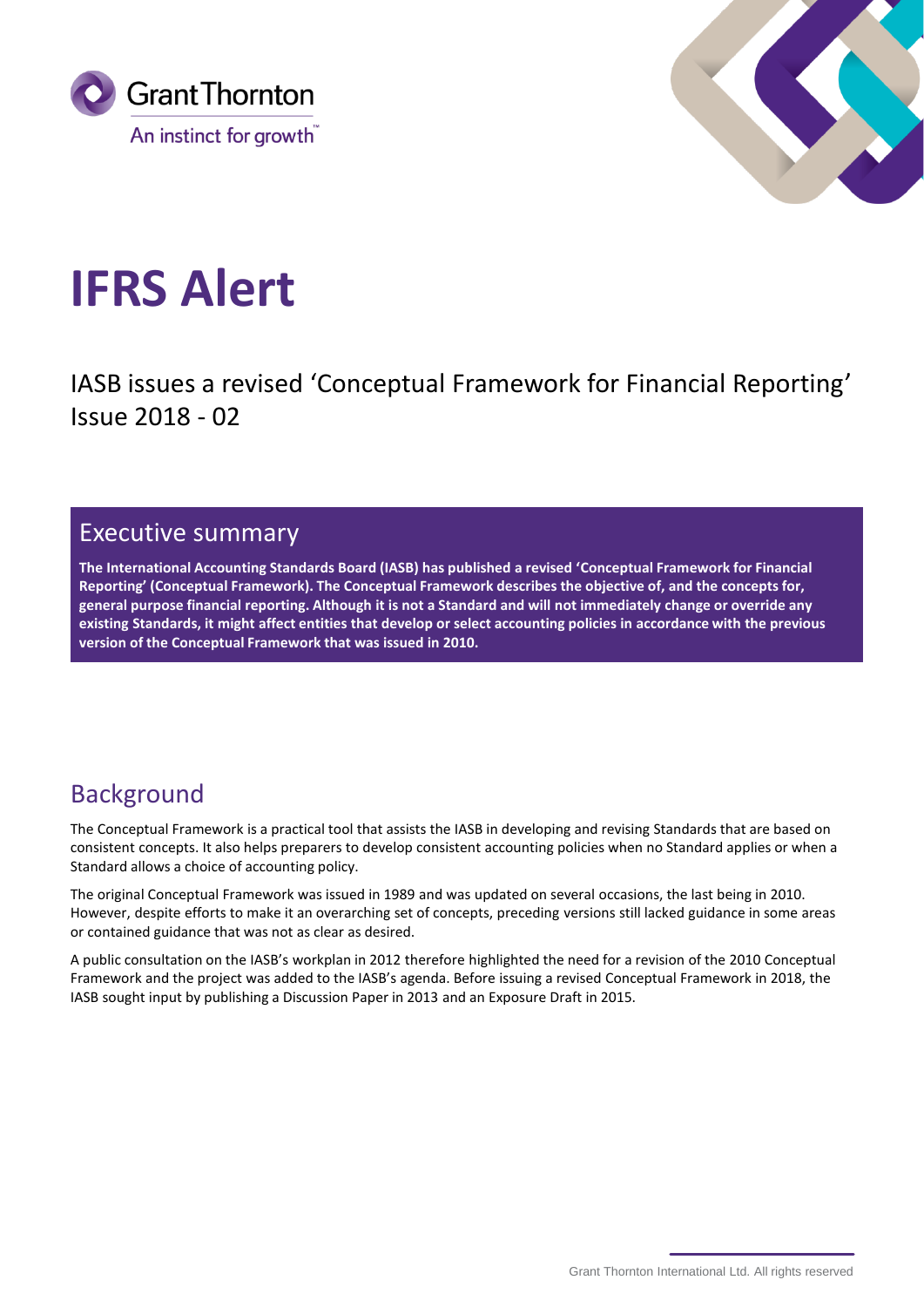



# **IFRS Alert**

IASB issues a revised 'Conceptual Framework for Financial Reporting' Issue 2018 - 02

## Executive summary

**The International Accounting Standards Board (IASB) has published a revised 'Conceptual Framework for Financial Reporting' (Conceptual Framework). The Conceptual Framework describes the objective of, and the concepts for, general purpose financial reporting. Although it is not a Standard and will not immediately change or override any existing Standards, it might affect entities that develop or select accounting policies in accordance with the previous version of the Conceptual Framework that was issued in 2010.**

# Background

The Conceptual Framework is a practical tool that assists the IASB in developing and revising Standards that are based on consistent concepts. It also helps preparers to develop consistent accounting policies when no Standard applies or when a Standard allows a choice of accounting policy.

The original Conceptual Framework was issued in 1989 and was updated on several occasions, the last being in 2010. However, despite efforts to make it an overarching set of concepts, preceding versions still lacked guidance in some areas or contained guidance that was not as clear as desired.

A public consultation on the IASB's workplan in 2012 therefore highlighted the need for a revision of the 2010 Conceptual Framework and the project was added to the IASB's agenda. Before issuing a revised Conceptual Framework in 2018, the IASB sought input by publishing a Discussion Paper in 2013 and an Exposure Draft in 2015.